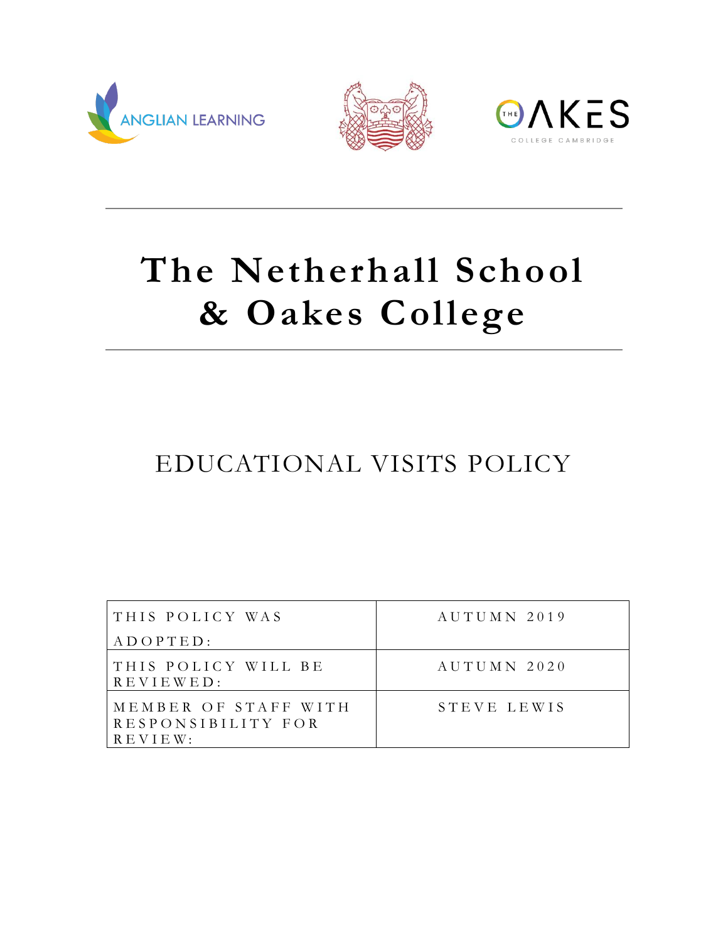





# **The Netherhall School & Oakes College**

# EDUCATIONAL VISITS POLICY

| THIS POLICY WAS                                              | AUTUMN 2019 |
|--------------------------------------------------------------|-------------|
| $A D O P T E D$ :                                            |             |
| THIS POLICY WILL BE<br>$R E V I E W E D$ :                   | AUTUMN 2020 |
| MEMBER OF STAFF WITH<br>RESPONSIBILITY FOR<br>$R$ E V I E W: | STEVE LEWIS |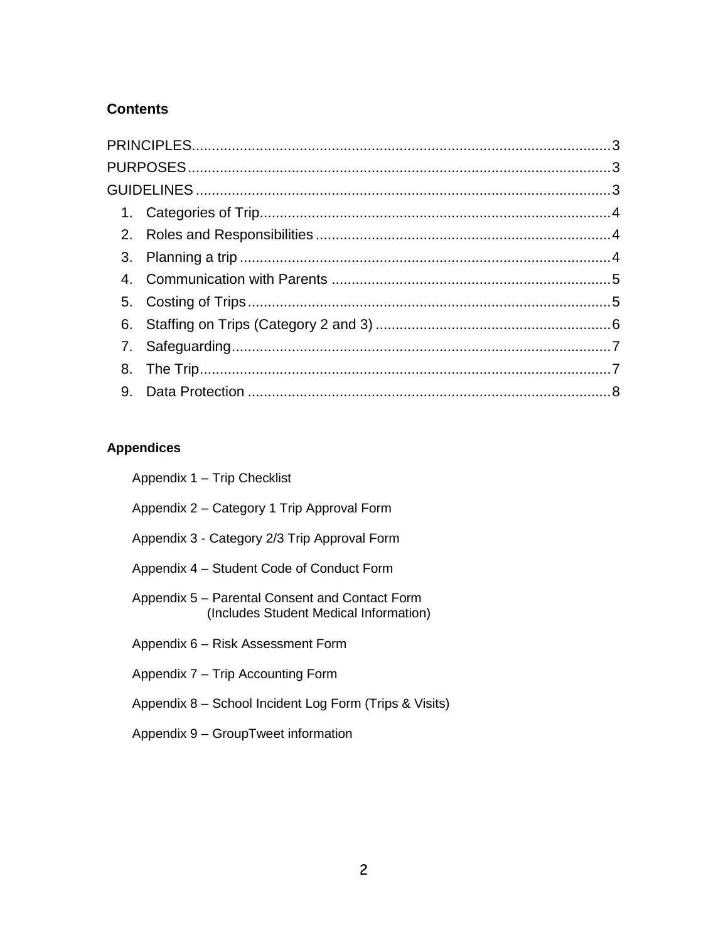### **Contents**

## **Appendices**

| Appendix 1 - Trip Checklist                                                              |
|------------------------------------------------------------------------------------------|
| Appendix 2 - Category 1 Trip Approval Form                                               |
| Appendix 3 - Category 2/3 Trip Approval Form                                             |
| Appendix 4 – Student Code of Conduct Form                                                |
| Appendix 5 – Parental Consent and Contact Form<br>(Includes Student Medical Information) |
| Appendix 6 - Risk Assessment Form                                                        |
| Appendix 7 – Trip Accounting Form                                                        |
| Appendix 8 - School Incident Log Form (Trips & Visits)                                   |
| Appendix 9 - GroupTweet information                                                      |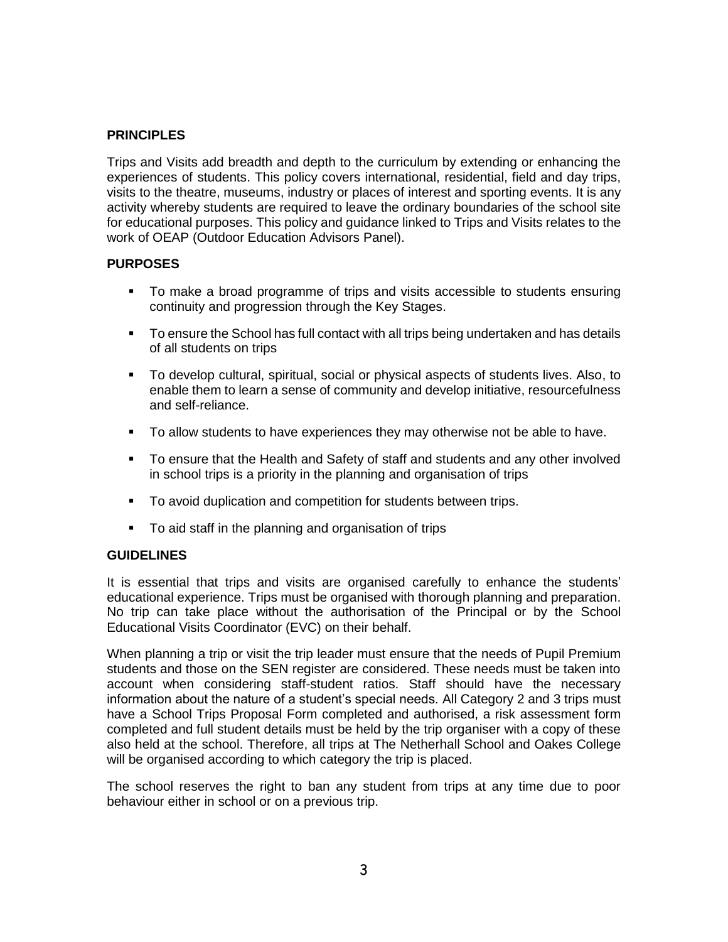#### <span id="page-2-0"></span>**PRINCIPLES**

Trips and Visits add breadth and depth to the curriculum by extending or enhancing the experiences of students. This policy covers international, residential, field and day trips, visits to the theatre, museums, industry or places of interest and sporting events. It is any activity whereby students are required to leave the ordinary boundaries of the school site for educational purposes. This policy and guidance linked to Trips and Visits relates to the work of OEAP (Outdoor Education Advisors Panel).

#### <span id="page-2-1"></span>**PURPOSES**

- To make a broad programme of trips and visits accessible to students ensuring continuity and progression through the Key Stages.
- **To ensure the School has full contact with all trips being undertaken and has details** of all students on trips
- To develop cultural, spiritual, social or physical aspects of students lives. Also, to enable them to learn a sense of community and develop initiative, resourcefulness and self-reliance.
- To allow students to have experiences they may otherwise not be able to have.
- To ensure that the Health and Safety of staff and students and any other involved in school trips is a priority in the planning and organisation of trips
- To avoid duplication and competition for students between trips.
- To aid staff in the planning and organisation of trips

#### <span id="page-2-2"></span>**GUIDELINES**

It is essential that trips and visits are organised carefully to enhance the students' educational experience. Trips must be organised with thorough planning and preparation. No trip can take place without the authorisation of the Principal or by the School Educational Visits Coordinator (EVC) on their behalf.

When planning a trip or visit the trip leader must ensure that the needs of Pupil Premium students and those on the SEN register are considered. These needs must be taken into account when considering staff-student ratios. Staff should have the necessary information about the nature of a student's special needs. All Category 2 and 3 trips must have a School Trips Proposal Form completed and authorised, a risk assessment form completed and full student details must be held by the trip organiser with a copy of these also held at the school. Therefore, all trips at The Netherhall School and Oakes College will be organised according to which category the trip is placed.

The school reserves the right to ban any student from trips at any time due to poor behaviour either in school or on a previous trip.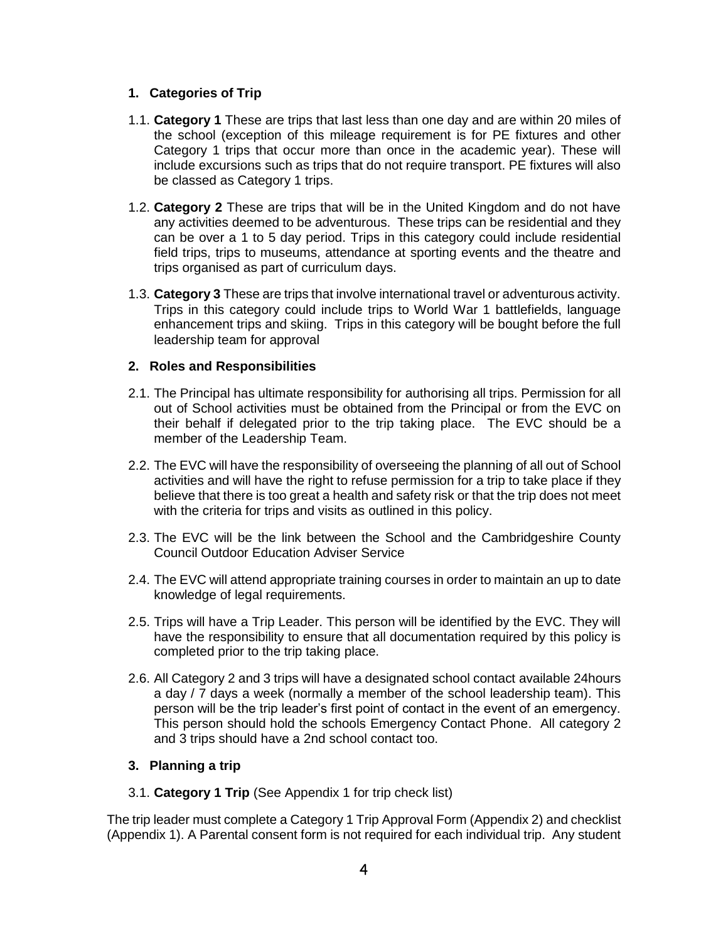#### <span id="page-3-0"></span>**1. Categories of Trip**

- 1.1. **Category 1** These are trips that last less than one day and are within 20 miles of the school (exception of this mileage requirement is for PE fixtures and other Category 1 trips that occur more than once in the academic year). These will include excursions such as trips that do not require transport. PE fixtures will also be classed as Category 1 trips.
- 1.2. **Category 2** These are trips that will be in the United Kingdom and do not have any activities deemed to be adventurous. These trips can be residential and they can be over a 1 to 5 day period. Trips in this category could include residential field trips, trips to museums, attendance at sporting events and the theatre and trips organised as part of curriculum days.
- 1.3. **Category 3** These are trips that involve international travel or adventurous activity. Trips in this category could include trips to World War 1 battlefields, language enhancement trips and skiing. Trips in this category will be bought before the full leadership team for approval

#### <span id="page-3-1"></span>**2. Roles and Responsibilities**

- 2.1. The Principal has ultimate responsibility for authorising all trips. Permission for all out of School activities must be obtained from the Principal or from the EVC on their behalf if delegated prior to the trip taking place. The EVC should be a member of the Leadership Team.
- 2.2. The EVC will have the responsibility of overseeing the planning of all out of School activities and will have the right to refuse permission for a trip to take place if they believe that there is too great a health and safety risk or that the trip does not meet with the criteria for trips and visits as outlined in this policy.
- 2.3. The EVC will be the link between the School and the Cambridgeshire County Council Outdoor Education Adviser Service
- 2.4. The EVC will attend appropriate training courses in order to maintain an up to date knowledge of legal requirements.
- 2.5. Trips will have a Trip Leader. This person will be identified by the EVC. They will have the responsibility to ensure that all documentation required by this policy is completed prior to the trip taking place.
- 2.6. All Category 2 and 3 trips will have a designated school contact available 24hours a day / 7 days a week (normally a member of the school leadership team). This person will be the trip leader's first point of contact in the event of an emergency. This person should hold the schools Emergency Contact Phone. All category 2 and 3 trips should have a 2nd school contact too.

#### <span id="page-3-2"></span>**3. Planning a trip**

3.1. **Category 1 Trip** (See Appendix 1 for trip check list)

The trip leader must complete a Category 1 Trip Approval Form (Appendix 2) and checklist (Appendix 1). A Parental consent form is not required for each individual trip. Any student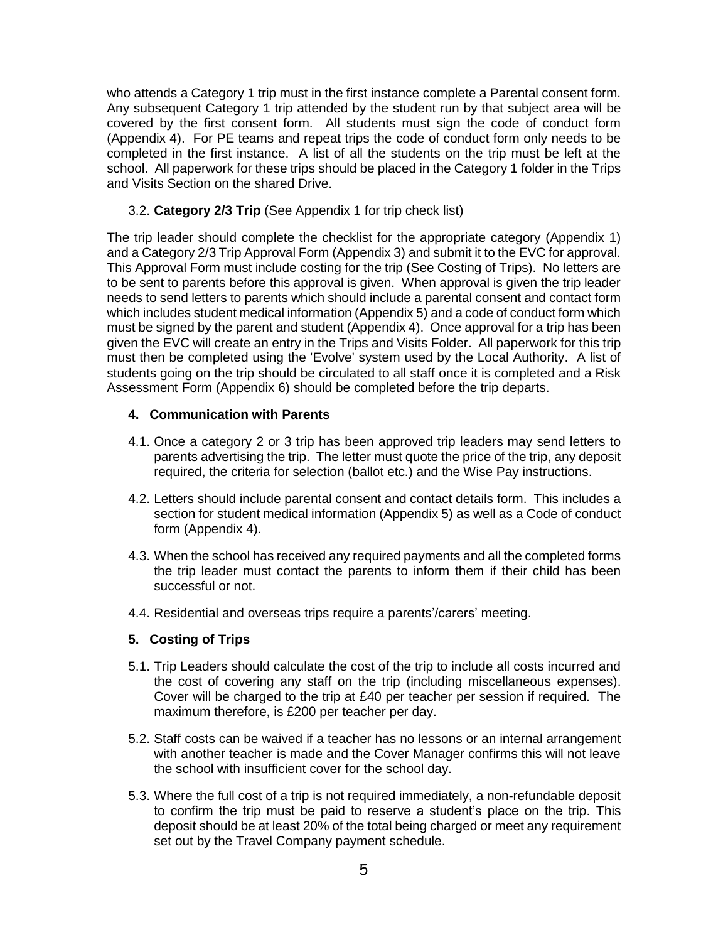who attends a Category 1 trip must in the first instance complete a Parental consent form. Any subsequent Category 1 trip attended by the student run by that subject area will be covered by the first consent form. All students must sign the code of conduct form (Appendix 4). For PE teams and repeat trips the code of conduct form only needs to be completed in the first instance. A list of all the students on the trip must be left at the school. All paperwork for these trips should be placed in the Category 1 folder in the Trips and Visits Section on the shared Drive.

3.2. **Category 2/3 Trip** (See Appendix 1 for trip check list)

The trip leader should complete the checklist for the appropriate category (Appendix 1) and a Category 2/3 Trip Approval Form (Appendix 3) and submit it to the EVC for approval. This Approval Form must include costing for the trip (See Costing of Trips). No letters are to be sent to parents before this approval is given. When approval is given the trip leader needs to send letters to parents which should include a parental consent and contact form which includes student medical information (Appendix 5) and a code of conduct form which must be signed by the parent and student (Appendix 4). Once approval for a trip has been given the EVC will create an entry in the Trips and Visits Folder. All paperwork for this trip must then be completed using the 'Evolve' system used by the Local Authority. A list of students going on the trip should be circulated to all staff once it is completed and a Risk Assessment Form (Appendix 6) should be completed before the trip departs.

#### <span id="page-4-0"></span>**4. Communication with Parents**

- 4.1. Once a category 2 or 3 trip has been approved trip leaders may send letters to parents advertising the trip. The letter must quote the price of the trip, any deposit required, the criteria for selection (ballot etc.) and the Wise Pay instructions.
- 4.2. Letters should include parental consent and contact details form. This includes a section for student medical information (Appendix 5) as well as a Code of conduct form (Appendix 4).
- 4.3. When the school has received any required payments and all the completed forms the trip leader must contact the parents to inform them if their child has been successful or not.
- 4.4. Residential and overseas trips require a parents'/carers' meeting.

#### <span id="page-4-1"></span>**5. Costing of Trips**

- 5.1. Trip Leaders should calculate the cost of the trip to include all costs incurred and the cost of covering any staff on the trip (including miscellaneous expenses). Cover will be charged to the trip at £40 per teacher per session if required. The maximum therefore, is £200 per teacher per day.
- 5.2. Staff costs can be waived if a teacher has no lessons or an internal arrangement with another teacher is made and the Cover Manager confirms this will not leave the school with insufficient cover for the school day.
- 5.3. Where the full cost of a trip is not required immediately, a non-refundable deposit to confirm the trip must be paid to reserve a student's place on the trip. This deposit should be at least 20% of the total being charged or meet any requirement set out by the Travel Company payment schedule.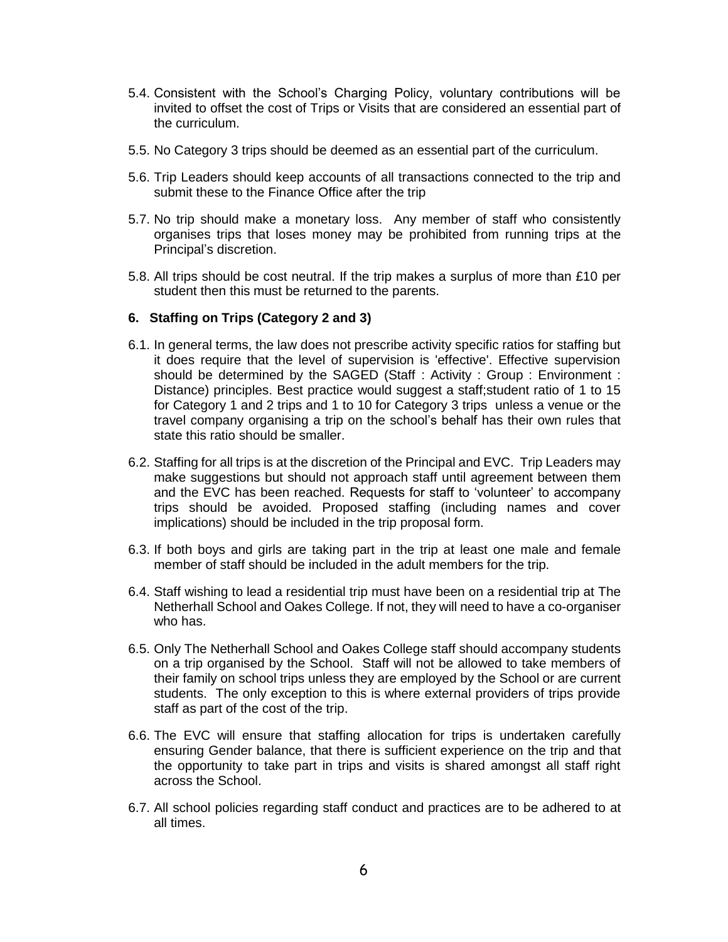- 5.4. Consistent with the School's Charging Policy, voluntary contributions will be invited to offset the cost of Trips or Visits that are considered an essential part of the curriculum.
- 5.5. No Category 3 trips should be deemed as an essential part of the curriculum.
- 5.6. Trip Leaders should keep accounts of all transactions connected to the trip and submit these to the Finance Office after the trip
- 5.7. No trip should make a monetary loss. Any member of staff who consistently organises trips that loses money may be prohibited from running trips at the Principal's discretion.
- 5.8. All trips should be cost neutral. If the trip makes a surplus of more than £10 per student then this must be returned to the parents.

#### <span id="page-5-0"></span>**6. Staffing on Trips (Category 2 and 3)**

- 6.1. In general terms, the law does not prescribe activity specific ratios for staffing but it does require that the level of supervision is 'effective'. Effective supervision should be determined by the SAGED (Staff : Activity : Group : Environment : Distance) principles. Best practice would suggest a staff;student ratio of 1 to 15 for Category 1 and 2 trips and 1 to 10 for Category 3 trips unless a venue or the travel company organising a trip on the school's behalf has their own rules that state this ratio should be smaller.
- 6.2. Staffing for all trips is at the discretion of the Principal and EVC. Trip Leaders may make suggestions but should not approach staff until agreement between them and the EVC has been reached. Requests for staff to 'volunteer' to accompany trips should be avoided. Proposed staffing (including names and cover implications) should be included in the trip proposal form.
- 6.3. If both boys and girls are taking part in the trip at least one male and female member of staff should be included in the adult members for the trip.
- 6.4. Staff wishing to lead a residential trip must have been on a residential trip at The Netherhall School and Oakes College. If not, they will need to have a co-organiser who has.
- 6.5. Only The Netherhall School and Oakes College staff should accompany students on a trip organised by the School. Staff will not be allowed to take members of their family on school trips unless they are employed by the School or are current students. The only exception to this is where external providers of trips provide staff as part of the cost of the trip.
- 6.6. The EVC will ensure that staffing allocation for trips is undertaken carefully ensuring Gender balance, that there is sufficient experience on the trip and that the opportunity to take part in trips and visits is shared amongst all staff right across the School.
- 6.7. All school policies regarding staff conduct and practices are to be adhered to at all times.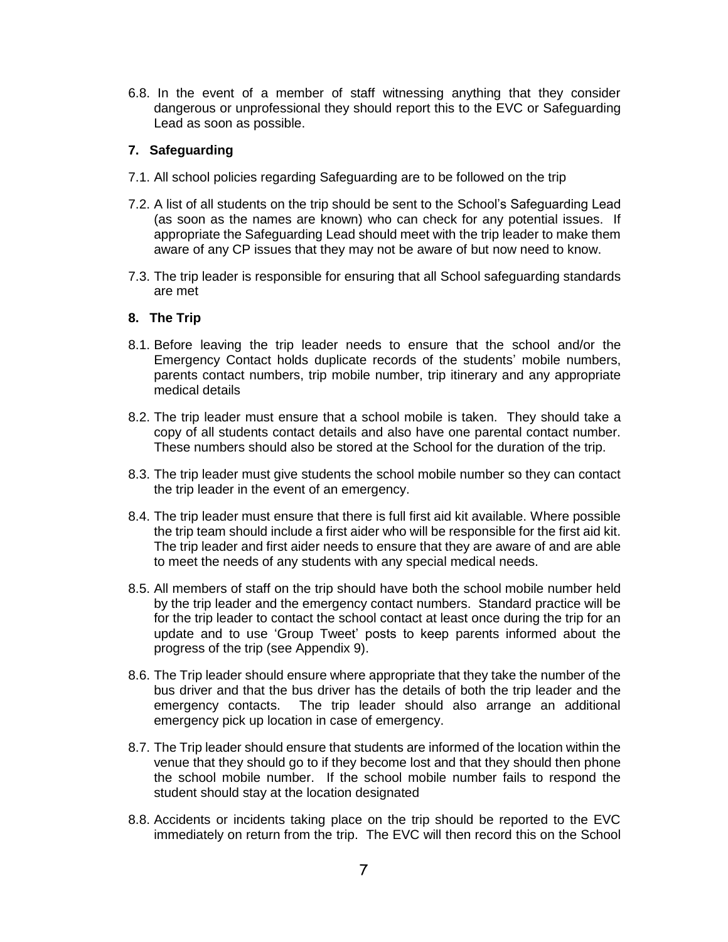6.8. In the event of a member of staff witnessing anything that they consider dangerous or unprofessional they should report this to the EVC or Safeguarding Lead as soon as possible.

#### <span id="page-6-0"></span>**7. Safeguarding**

- 7.1. All school policies regarding Safeguarding are to be followed on the trip
- 7.2. A list of all students on the trip should be sent to the School's Safeguarding Lead (as soon as the names are known) who can check for any potential issues. If appropriate the Safeguarding Lead should meet with the trip leader to make them aware of any CP issues that they may not be aware of but now need to know.
- 7.3. The trip leader is responsible for ensuring that all School safeguarding standards are met

#### <span id="page-6-1"></span>**8. The Trip**

- 8.1. Before leaving the trip leader needs to ensure that the school and/or the Emergency Contact holds duplicate records of the students' mobile numbers, parents contact numbers, trip mobile number, trip itinerary and any appropriate medical details
- 8.2. The trip leader must ensure that a school mobile is taken. They should take a copy of all students contact details and also have one parental contact number. These numbers should also be stored at the School for the duration of the trip.
- 8.3. The trip leader must give students the school mobile number so they can contact the trip leader in the event of an emergency.
- 8.4. The trip leader must ensure that there is full first aid kit available. Where possible the trip team should include a first aider who will be responsible for the first aid kit. The trip leader and first aider needs to ensure that they are aware of and are able to meet the needs of any students with any special medical needs.
- 8.5. All members of staff on the trip should have both the school mobile number held by the trip leader and the emergency contact numbers. Standard practice will be for the trip leader to contact the school contact at least once during the trip for an update and to use 'Group Tweet' posts to keep parents informed about the progress of the trip (see Appendix 9).
- 8.6. The Trip leader should ensure where appropriate that they take the number of the bus driver and that the bus driver has the details of both the trip leader and the emergency contacts. The trip leader should also arrange an additional emergency pick up location in case of emergency.
- 8.7. The Trip leader should ensure that students are informed of the location within the venue that they should go to if they become lost and that they should then phone the school mobile number. If the school mobile number fails to respond the student should stay at the location designated
- 8.8. Accidents or incidents taking place on the trip should be reported to the EVC immediately on return from the trip. The EVC will then record this on the School